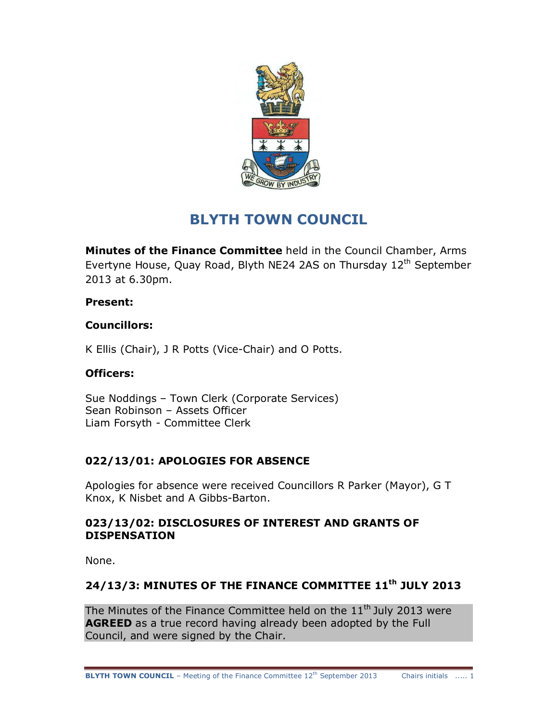

# **BLYTH TOWN COUNCIL**

**Minutes of the Finance Committee** held in the Council Chamber, Arms Evertyne House, Quay Road, Blyth NE24 2AS on Thursday 12<sup>th</sup> September 2013 at 6.30pm.

### **Present:**

### **Councillors:**

K Ellis (Chair), J R Potts (Vice-Chair) and O Potts.

## **Officers:**

Sue Noddings – Town Clerk (Corporate Services) Sean Robinson – Assets Officer Liam Forsyth - Committee Clerk

## **022/13/01: APOLOGIES FOR ABSENCE**

Apologies for absence were received Councillors R Parker (Mayor), G T Knox, K Nisbet and A Gibbs-Barton.

### **023/13/02: DISCLOSURES OF INTEREST AND GRANTS OF DISPENSATION**

None.

## **24/13/3: MINUTES OF THE FINANCE COMMITTEE 11th JULY 2013**

The Minutes of the Finance Committee held on the  $11<sup>th</sup>$  July 2013 were **AGREED** as a true record having already been adopted by the Full Council, and were signed by the Chair.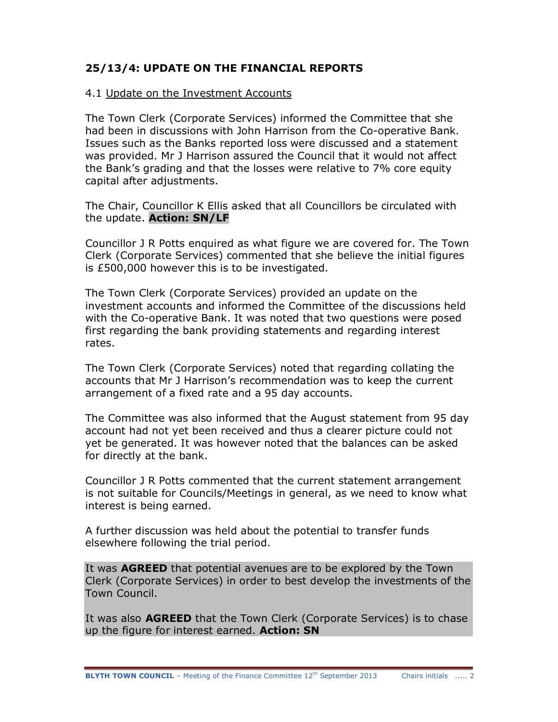## **25/13/4: UPDATE ON THE FINANCIAL REPORTS**

#### 4.1 Update on the Investment Accounts

The Town Clerk (Corporate Services) informed the Committee that she had been in discussions with John Harrison from the Co-operative Bank. Issues such as the Banks reported loss were discussed and a statement was provided. Mr J Harrison assured the Council that it would not affect the Bank's grading and that the losses were relative to 7% core equity capital after adjustments.

The Chair, Councillor K Ellis asked that all Councillors be circulated with the update. **Action: SN/LF**

Councillor J R Potts enquired as what figure we are covered for. The Town Clerk (Corporate Services) commented that she believe the initial figures is £500,000 however this is to be investigated.

The Town Clerk (Corporate Services) provided an update on the investment accounts and informed the Committee of the discussions held with the Co-operative Bank. It was noted that two questions were posed first regarding the bank providing statements and regarding interest rates.

The Town Clerk (Corporate Services) noted that regarding collating the accounts that Mr J Harrison's recommendation was to keep the current arrangement of a fixed rate and a 95 day accounts.

The Committee was also informed that the August statement from 95 day account had not yet been received and thus a clearer picture could not yet be generated. It was however noted that the balances can be asked for directly at the bank.

Councillor J R Potts commented that the current statement arrangement is not suitable for Councils/Meetings in general, as we need to know what interest is being earned.

A further discussion was held about the potential to transfer funds elsewhere following the trial period.

It was **AGREED** that potential avenues are to be explored by the Town Clerk (Corporate Services) in order to best develop the investments of the Town Council.

It was also **AGREED** that the Town Clerk (Corporate Services) is to chase up the figure for interest earned. **Action: SN**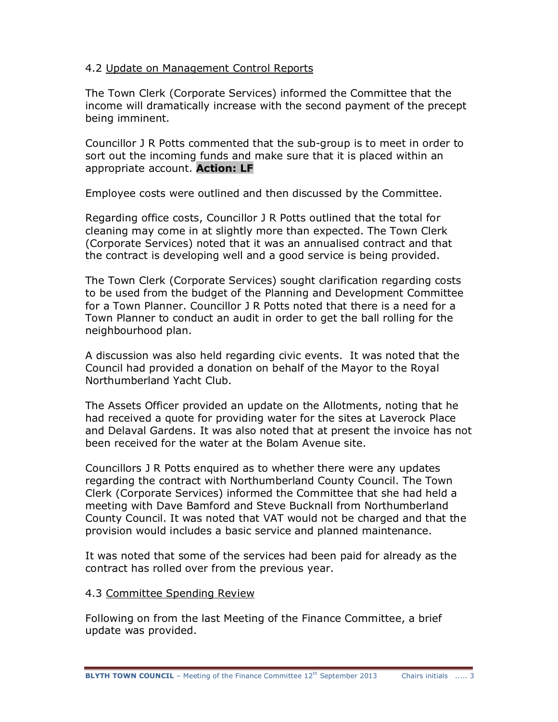#### 4.2 Update on Management Control Reports

The Town Clerk (Corporate Services) informed the Committee that the income will dramatically increase with the second payment of the precept being imminent.

Councillor J R Potts commented that the sub-group is to meet in order to sort out the incoming funds and make sure that it is placed within an appropriate account. **Action: LF**

Employee costs were outlined and then discussed by the Committee.

Regarding office costs, Councillor J R Potts outlined that the total for cleaning may come in at slightly more than expected. The Town Clerk (Corporate Services) noted that it was an annualised contract and that the contract is developing well and a good service is being provided.

The Town Clerk (Corporate Services) sought clarification regarding costs to be used from the budget of the Planning and Development Committee for a Town Planner. Councillor J R Potts noted that there is a need for a Town Planner to conduct an audit in order to get the ball rolling for the neighbourhood plan.

A discussion was also held regarding civic events. It was noted that the Council had provided a donation on behalf of the Mayor to the Royal Northumberland Yacht Club.

The Assets Officer provided an update on the Allotments, noting that he had received a quote for providing water for the sites at Laverock Place and Delaval Gardens. It was also noted that at present the invoice has not been received for the water at the Bolam Avenue site.

Councillors J R Potts enquired as to whether there were any updates regarding the contract with Northumberland County Council. The Town Clerk (Corporate Services) informed the Committee that she had held a meeting with Dave Bamford and Steve Bucknall from Northumberland County Council. It was noted that VAT would not be charged and that the provision would includes a basic service and planned maintenance.

It was noted that some of the services had been paid for already as the contract has rolled over from the previous year.

#### 4.3 Committee Spending Review

Following on from the last Meeting of the Finance Committee, a brief update was provided.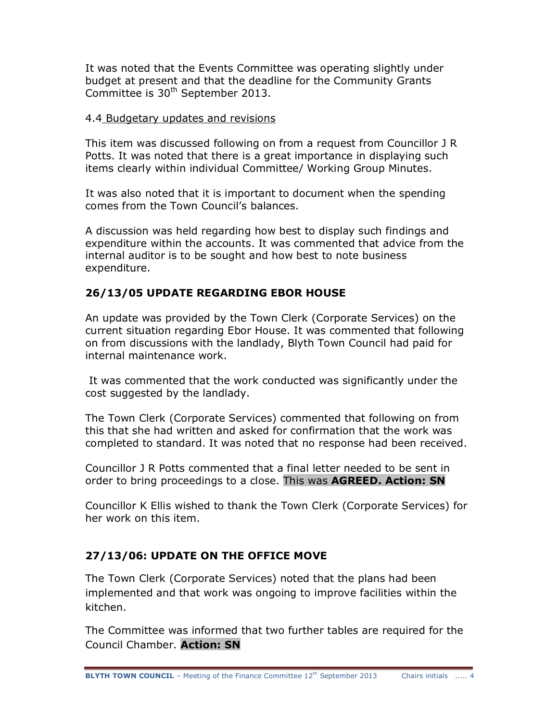It was noted that the Events Committee was operating slightly under budget at present and that the deadline for the Community Grants Committee is 30<sup>th</sup> September 2013.

#### 4.4 Budgetary updates and revisions

This item was discussed following on from a request from Councillor J R Potts. It was noted that there is a great importance in displaying such items clearly within individual Committee/ Working Group Minutes.

It was also noted that it is important to document when the spending comes from the Town Council's balances.

A discussion was held regarding how best to display such findings and expenditure within the accounts. It was commented that advice from the internal auditor is to be sought and how best to note business expenditure.

## **26/13/05 UPDATE REGARDING EBOR HOUSE**

An update was provided by the Town Clerk (Corporate Services) on the current situation regarding Ebor House. It was commented that following on from discussions with the landlady, Blyth Town Council had paid for internal maintenance work.

It was commented that the work conducted was significantly under the cost suggested by the landlady.

The Town Clerk (Corporate Services) commented that following on from this that she had written and asked for confirmation that the work was completed to standard. It was noted that no response had been received.

Councillor J R Potts commented that a final letter needed to be sent in order to bring proceedings to a close. This was **AGREED. Action: SN**

Councillor K Ellis wished to thank the Town Clerk (Corporate Services) for her work on this item.

## **27/13/06: UPDATE ON THE OFFICE MOVE**

The Town Clerk (Corporate Services) noted that the plans had been implemented and that work was ongoing to improve facilities within the kitchen.

The Committee was informed that two further tables are required for the Council Chamber. **Action: SN**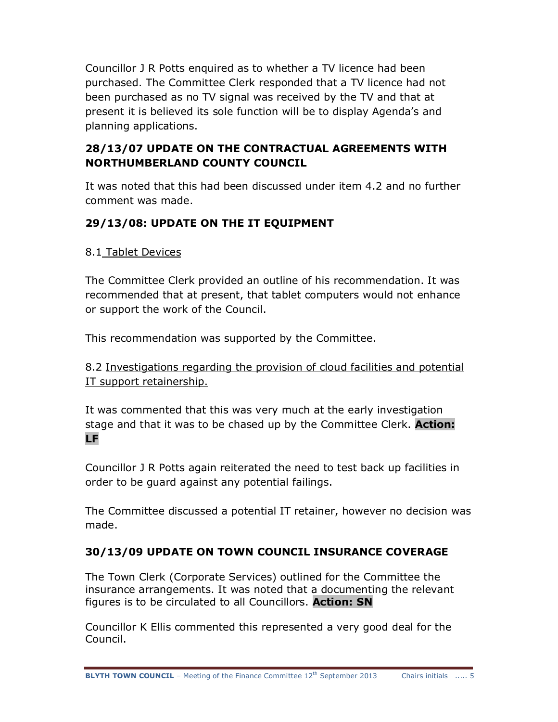Councillor J R Potts enquired as to whether a TV licence had been purchased. The Committee Clerk responded that a TV licence had not been purchased as no TV signal was received by the TV and that at present it is believed its sole function will be to display Agenda's and planning applications.

## **28/13/07 UPDATE ON THE CONTRACTUAL AGREEMENTS WITH NORTHUMBERLAND COUNTY COUNCIL**

It was noted that this had been discussed under item 4.2 and no further comment was made.

## **29/13/08: UPDATE ON THE IT EQUIPMENT**

## 8.1 Tablet Devices

The Committee Clerk provided an outline of his recommendation. It was recommended that at present, that tablet computers would not enhance or support the work of the Council.

This recommendation was supported by the Committee.

8.2 Investigations regarding the provision of cloud facilities and potential IT support retainership.

It was commented that this was very much at the early investigation stage and that it was to be chased up by the Committee Clerk. **Action: LF**

Councillor J R Potts again reiterated the need to test back up facilities in order to be guard against any potential failings.

The Committee discussed a potential IT retainer, however no decision was made.

## **30/13/09 UPDATE ON TOWN COUNCIL INSURANCE COVERAGE**

The Town Clerk (Corporate Services) outlined for the Committee the insurance arrangements. It was noted that a documenting the relevant figures is to be circulated to all Councillors. **Action: SN**

Councillor K Ellis commented this represented a very good deal for the Council.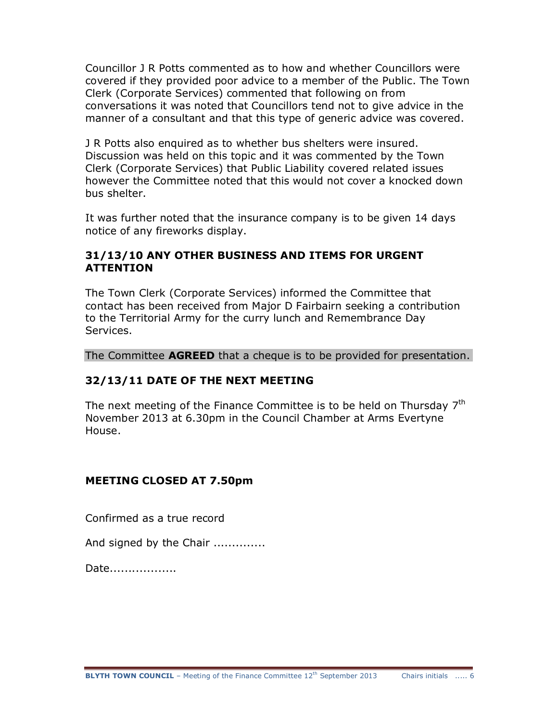Councillor J R Potts commented as to how and whether Councillors were covered if they provided poor advice to a member of the Public. The Town Clerk (Corporate Services) commented that following on from conversations it was noted that Councillors tend not to give advice in the manner of a consultant and that this type of generic advice was covered.

J R Potts also enquired as to whether bus shelters were insured. Discussion was held on this topic and it was commented by the Town Clerk (Corporate Services) that Public Liability covered related issues however the Committee noted that this would not cover a knocked down bus shelter.

It was further noted that the insurance company is to be given 14 days notice of any fireworks display.

### **31/13/10 ANY OTHER BUSINESS AND ITEMS FOR URGENT ATTENTION**

The Town Clerk (Corporate Services) informed the Committee that contact has been received from Major D Fairbairn seeking a contribution to the Territorial Army for the curry lunch and Remembrance Day Services.

The Committee **AGREED** that a cheque is to be provided for presentation.

## **32/13/11 DATE OF THE NEXT MEETING**

The next meeting of the Finance Committee is to be held on Thursday  $7<sup>th</sup>$ November 2013 at 6.30pm in the Council Chamber at Arms Evertyne House.

#### **MEETING CLOSED AT 7.50pm**

Confirmed as a true record

And signed by the Chair ..............

Date..................